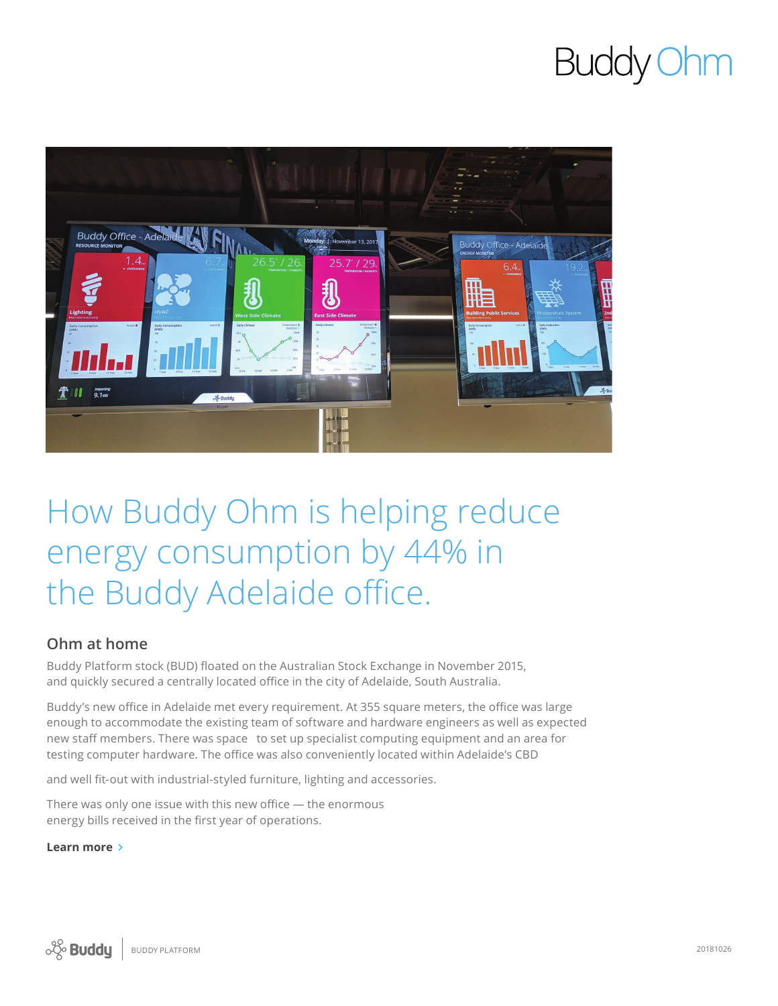# **Buddy Ohm**



# How Buddy Ohm is helping reduce energy consumption by 44% in the Buddy Adelaide office.

#### **Ohm at home**

Buddy Platform stock (BUD) floated on the Australian Stock Exchange in November 2015, and quickly secured a centrally located office in the city of Adelaide, South Australia.

Buddy's new office in Adelaide met every requirement. At 355 square meters, the office was large enough to accommodate the existing team of software and hardware engineers as well as expected new staff members. There was space to set up specialist computing equipment and an area for testing computer hardware. The office was also conveniently located within Adelaide's CBD

and well fit-out with industrial-styled furniture, lighting and accessories.

There was only one issue with this new office — the enormous energy bills received in the first year of operations.

#### **Learn more**